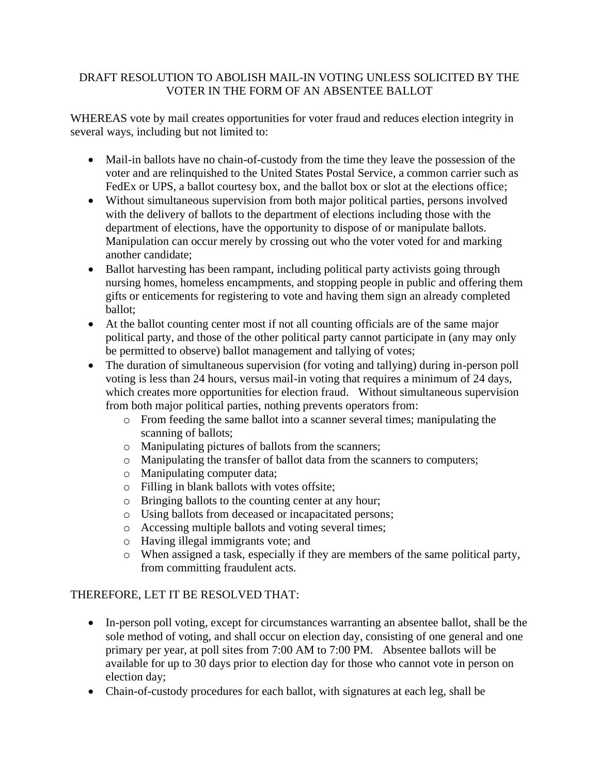## DRAFT RESOLUTION TO ABOLISH MAIL-IN VOTING UNLESS SOLICITED BY THE VOTER IN THE FORM OF AN ABSENTEE BALLOT

WHEREAS vote by mail creates opportunities for voter fraud and reduces election integrity in several ways, including but not limited to:

- Mail-in ballots have no chain-of-custody from the time they leave the possession of the voter and are relinquished to the United States Postal Service, a common carrier such as FedEx or UPS, a ballot courtesy box, and the ballot box or slot at the elections office;
- Without simultaneous supervision from both major political parties, persons involved with the delivery of ballots to the department of elections including those with the department of elections, have the opportunity to dispose of or manipulate ballots. Manipulation can occur merely by crossing out who the voter voted for and marking another candidate;
- Ballot harvesting has been rampant, including political party activists going through nursing homes, homeless encampments, and stopping people in public and offering them gifts or enticements for registering to vote and having them sign an already completed ballot;
- At the ballot counting center most if not all counting officials are of the same major political party, and those of the other political party cannot participate in (any may only be permitted to observe) ballot management and tallying of votes;
- The duration of simultaneous supervision (for voting and tallying) during in-person poll voting is less than 24 hours, versus mail-in voting that requires a minimum of 24 days, which creates more opportunities for election fraud. Without simultaneous supervision from both major political parties, nothing prevents operators from:
	- o From feeding the same ballot into a scanner several times; manipulating the scanning of ballots;
	- o Manipulating pictures of ballots from the scanners;
	- o Manipulating the transfer of ballot data from the scanners to computers;
	- o Manipulating computer data;
	- o Filling in blank ballots with votes offsite;
	- o Bringing ballots to the counting center at any hour;
	- o Using ballots from deceased or incapacitated persons;
	- o Accessing multiple ballots and voting several times;
	- o Having illegal immigrants vote; and
	- o When assigned a task, especially if they are members of the same political party, from committing fraudulent acts.

## THEREFORE, LET IT BE RESOLVED THAT:

- In-person poll voting, except for circumstances warranting an absentee ballot, shall be the sole method of voting, and shall occur on election day, consisting of one general and one primary per year, at poll sites from 7:00 AM to 7:00 PM. Absentee ballots will be available for up to 30 days prior to election day for those who cannot vote in person on election day;
- Chain-of-custody procedures for each ballot, with signatures at each leg, shall be